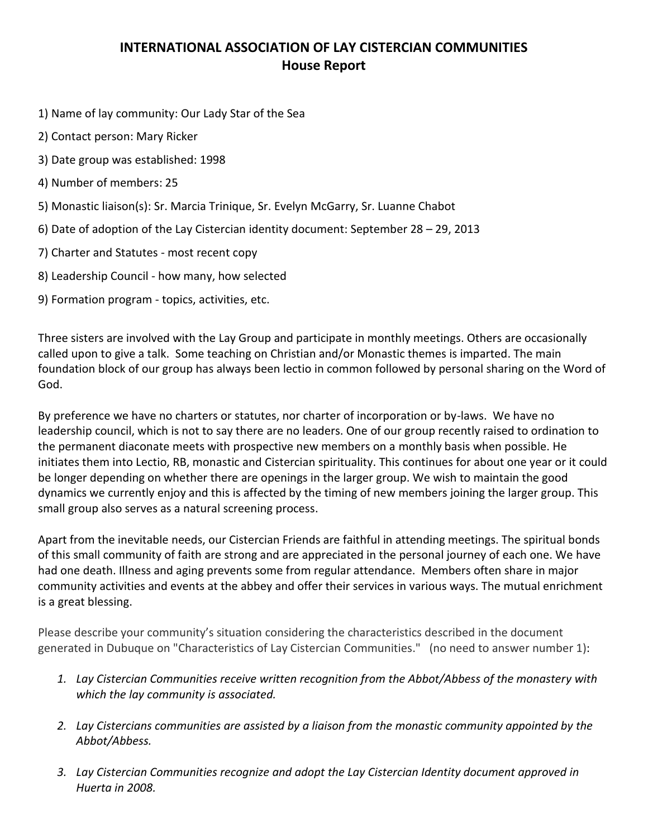## **INTERNATIONAL ASSOCIATION OF LAY CISTERCIAN COMMUNITIES House Report**

- 1) Name of lay community: Our Lady Star of the Sea
- 2) Contact person: Mary Ricker
- 3) Date group was established: 1998
- 4) Number of members: 25
- 5) Monastic liaison(s): Sr. Marcia Trinique, Sr. Evelyn McGarry, Sr. Luanne Chabot
- 6) Date of adoption of the Lay Cistercian identity document: September 28 29, 2013
- 7) Charter and Statutes most recent copy
- 8) Leadership Council how many, how selected
- 9) Formation program topics, activities, etc.

Three sisters are involved with the Lay Group and participate in monthly meetings. Others are occasionally called upon to give a talk. Some teaching on Christian and/or Monastic themes is imparted. The main foundation block of our group has always been lectio in common followed by personal sharing on the Word of God.

By preference we have no charters or statutes, nor charter of incorporation or by-laws. We have no leadership council, which is not to say there are no leaders. One of our group recently raised to ordination to the permanent diaconate meets with prospective new members on a monthly basis when possible. He initiates them into Lectio, RB, monastic and Cistercian spirituality. This continues for about one year or it could be longer depending on whether there are openings in the larger group. We wish to maintain the good dynamics we currently enjoy and this is affected by the timing of new members joining the larger group. This small group also serves as a natural screening process.

Apart from the inevitable needs, our Cistercian Friends are faithful in attending meetings. The spiritual bonds of this small community of faith are strong and are appreciated in the personal journey of each one. We have had one death. Illness and aging prevents some from regular attendance. Members often share in major community activities and events at the abbey and offer their services in various ways. The mutual enrichment is a great blessing.

Please describe your community's situation considering the characteristics described in the document generated in Dubuque on "Characteristics of Lay Cistercian Communities." (no need to answer number 1):

- *1. Lay Cistercian Communities receive written recognition from the Abbot/Abbess of the monastery with which the lay community is associated.*
- *2. Lay Cistercians communities are assisted by a liaison from the monastic community appointed by the Abbot/Abbess.*
- *3. Lay Cistercian Communities recognize and adopt the Lay Cistercian Identity document approved in Huerta in 2008.*